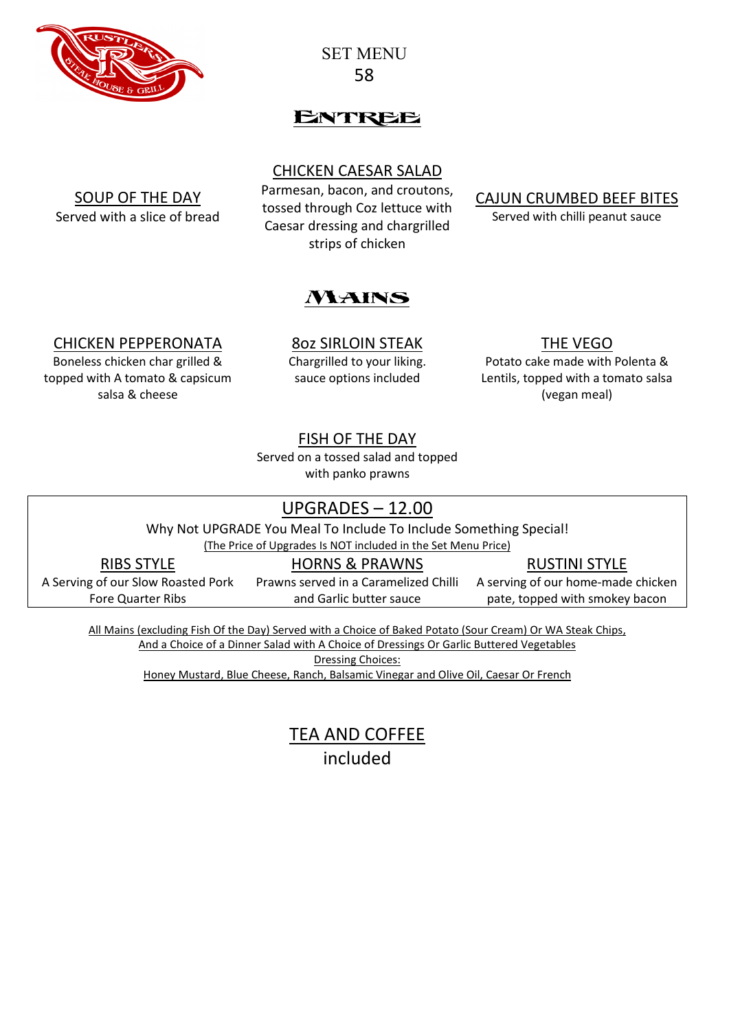

SET MENU 58

# Entree

### CHICKEN CAESAR SALAD

SOUP OF THE DAY Served with a slice of bread

Parmesan, bacon, and croutons, tossed through Coz lettuce with Caesar dressing and chargrilled strips of chicken

CAJUN CRUMBED BEEF BITES

Served with chilli peanut sauce



### CHICKEN PEPPERONATA

Boneless chicken char grilled & topped with A tomato & capsicum salsa & cheese

8oz SIRLOIN STEAK Chargrilled to your liking. sauce options included

### THE VEGO

Potato cake made with Polenta & Lentils, topped with a tomato salsa (vegan meal)

### FISH OF THE DAY

Served on a tossed salad and topped with panko prawns

### UPGRADES – 12.00

Why Not UPGRADE You Meal To Include To Include Something Special!

(The Price of Upgrades Is NOT included in the Set Menu Price)

RIBS STYLE

A Serving of our Slow Roasted Pork Fore Quarter Ribs

HORNS & PRAWNS Prawns served in a Caramelized Chilli and Garlic butter sauce

RUSTINI STYLE

A serving of our home-made chicken pate, topped with smokey bacon

All Mains (excluding Fish Of the Day) Served with a Choice of Baked Potato (Sour Cream) Or WA Steak Chips, And a Choice of a Dinner Salad with A Choice of Dressings Or Garlic Buttered Vegetables Dressing Choices:

Honey Mustard, Blue Cheese, Ranch, Balsamic Vinegar and Olive Oil, Caesar Or French

TEA AND COFFEE included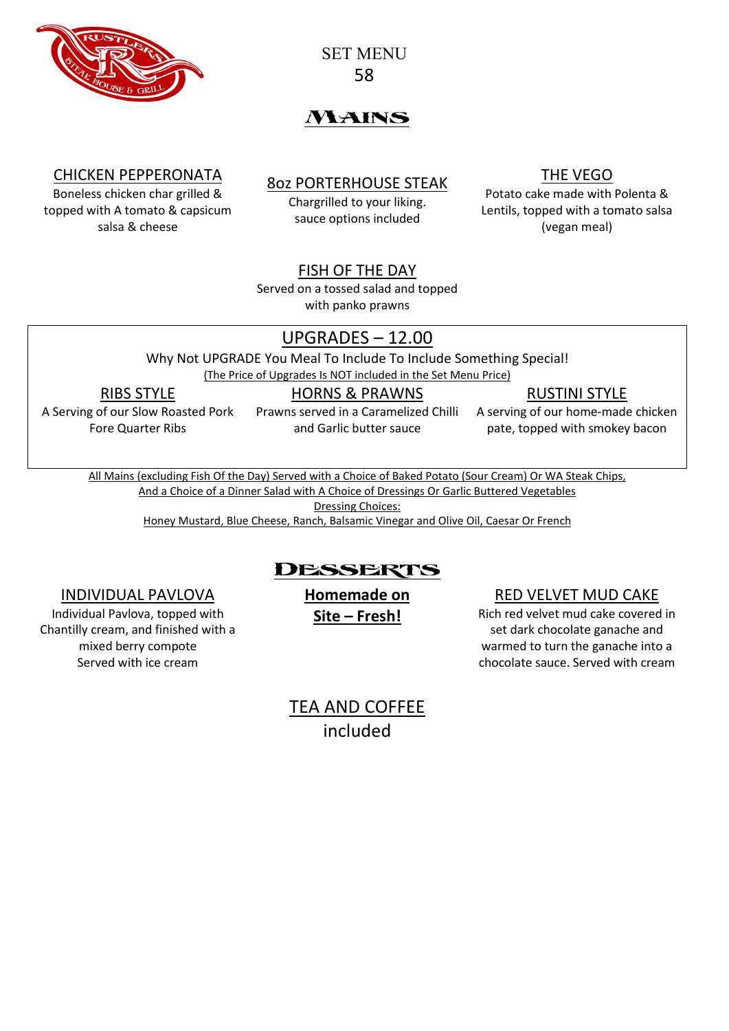

SET MENU 58

# *NYAINS*

### CHICKEN PEPPERONATA

Boneless chicken char grilled & topped with A tomato & capsicum salsa & cheese

## 8oz PORTERHOUSE STEAK

Chargrilled to your liking. sauce options included

### THE VEGO

Potato cake made with Polenta & Lentils, topped with a tomato salsa (vegan meal)

### FISH OF THE DAY

Served on a tossed salad and topped with panko prawns

### UPGRADES – 12.00

Why Not UPGRADE You Meal To Include To Include Something Special!

(The Price of Upgrades Is NOT included in the Set Menu Price)

### RIBS STYLE

A Serving of our Slow Roasted Pork Fore Quarter Ribs

#### HORNS & PRAWNS Prawns served in a Caramelized Chilli

and Garlic butter sauce

RUSTINI STYLE

A serving of our home-made chicken pate, topped with smokey bacon

All Mains (excluding Fish Of the Day) Served with a Choice of Baked Potato (Sour Cream) Or WA Steak Chips,

And a Choice of a Dinner Salad with A Choice of Dressings Or Garlic Buttered Vegetables

Dressing Choices:

Honey Mustard, Blue Cheese, Ranch, Balsamic Vinegar and Olive Oil, Caesar Or French

# Desserts

### INDIVIDUAL PAVLOVA

Individual Pavlova, topped with Chantilly cream, and finished with a mixed berry compote Served with ice cream

**Homemade on Site – Fresh!**

### RED VELVET MUD CAKE

Rich red velvet mud cake covered in set dark chocolate ganache and warmed to turn the ganache into a chocolate sauce. Served with cream

TEA AND COFFEE included